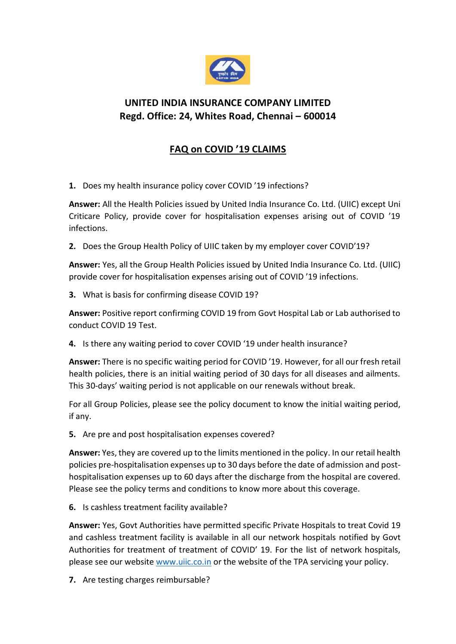

## **UNITED INDIA INSURANCE COMPANY LIMITED Regd. Office: 24, Whites Road, Chennai – 600014**

## **FAQ on COVID '19 CLAIMS**

**1.** Does my health insurance policy cover COVID '19 infections?

**Answer:** All the Health Policies issued by United India Insurance Co. Ltd. (UIIC) except Uni Criticare Policy, provide cover for hospitalisation expenses arising out of COVID '19 infections.

**2.** Does the Group Health Policy of UIIC taken by my employer cover COVID'19?

**Answer:** Yes, all the Group Health Policies issued by United India Insurance Co. Ltd. (UIIC) provide cover for hospitalisation expenses arising out of COVID '19 infections.

**3.** What is basis for confirming disease COVID 19?

**Answer:** Positive report confirming COVID 19 from Govt Hospital Lab or Lab authorised to conduct COVID 19 Test.

**4.** Is there any waiting period to cover COVID '19 under health insurance?

**Answer:** There is no specific waiting period for COVID '19. However, for all our fresh retail health policies, there is an initial waiting period of 30 days for all diseases and ailments. This 30-days' waiting period is not applicable on our renewals without break.

For all Group Policies, please see the policy document to know the initial waiting period, if any.

**5.** Are pre and post hospitalisation expenses covered?

**Answer:** Yes, they are covered up to the limits mentioned in the policy. In our retail health policies pre-hospitalisation expenses up to 30 days before the date of admission and posthospitalisation expenses up to 60 days after the discharge from the hospital are covered. Please see the policy terms and conditions to know more about this coverage.

**6.** Is cashless treatment facility available?

**Answer:** Yes, Govt Authorities have permitted specific Private Hospitals to treat Covid 19 and cashless treatment facility is available in all our network hospitals notified by Govt Authorities for treatment of treatment of COVID' 19. For the list of network hospitals, please see our website [www.uiic.co.in](http://www.uiic.co.in/) or the website of the TPA servicing your policy.

**7.** Are testing charges reimbursable?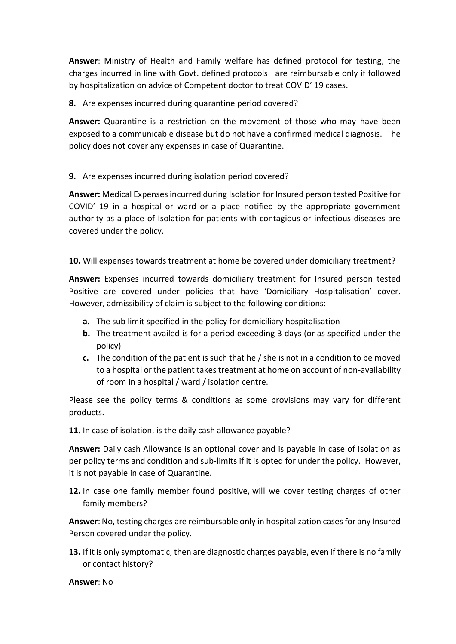**Answer**: Ministry of Health and Family welfare has defined protocol for testing, the charges incurred in line with Govt. defined protocols are reimbursable only if followed by hospitalization on advice of Competent doctor to treat COVID' 19 cases.

**8.** Are expenses incurred during quarantine period covered?

**Answer:** Quarantine is a restriction on the movement of those who may have been exposed to a communicable disease but do not have a confirmed medical diagnosis. The policy does not cover any expenses in case of Quarantine.

## **9.** Are expenses incurred during isolation period covered?

**Answer:** Medical Expenses incurred during Isolation for Insured person tested Positive for COVID' 19 in a hospital or ward or a place notified by the appropriate government authority as a place of Isolation for patients with contagious or infectious diseases are covered under the policy.

**10.** Will expenses towards treatment at home be covered under domiciliary treatment?

**Answer:** Expenses incurred towards domiciliary treatment for Insured person tested Positive are covered under policies that have 'Domiciliary Hospitalisation' cover. However, admissibility of claim is subject to the following conditions:

- **a.** The sub limit specified in the policy for domiciliary hospitalisation
- **b.** The treatment availed is for a period exceeding 3 days (or as specified under the policy)
- **c.** The condition of the patient is such that he / she is not in a condition to be moved to a hospital or the patient takes treatment at home on account of non-availability of room in a hospital / ward / isolation centre.

Please see the policy terms & conditions as some provisions may vary for different products.

**11.** In case of isolation, is the daily cash allowance payable?

**Answer:** Daily cash Allowance is an optional cover and is payable in case of Isolation as per policy terms and condition and sub-limits if it is opted for under the policy. However, it is not payable in case of Quarantine.

**12.** In case one family member found positive, will we cover testing charges of other family members?

**Answer**: No, testing charges are reimbursable only in hospitalization cases for any Insured Person covered under the policy.

**13.** If it is only symptomatic, then are diagnostic charges payable, even if there is no family or contact history?

**Answer**: No